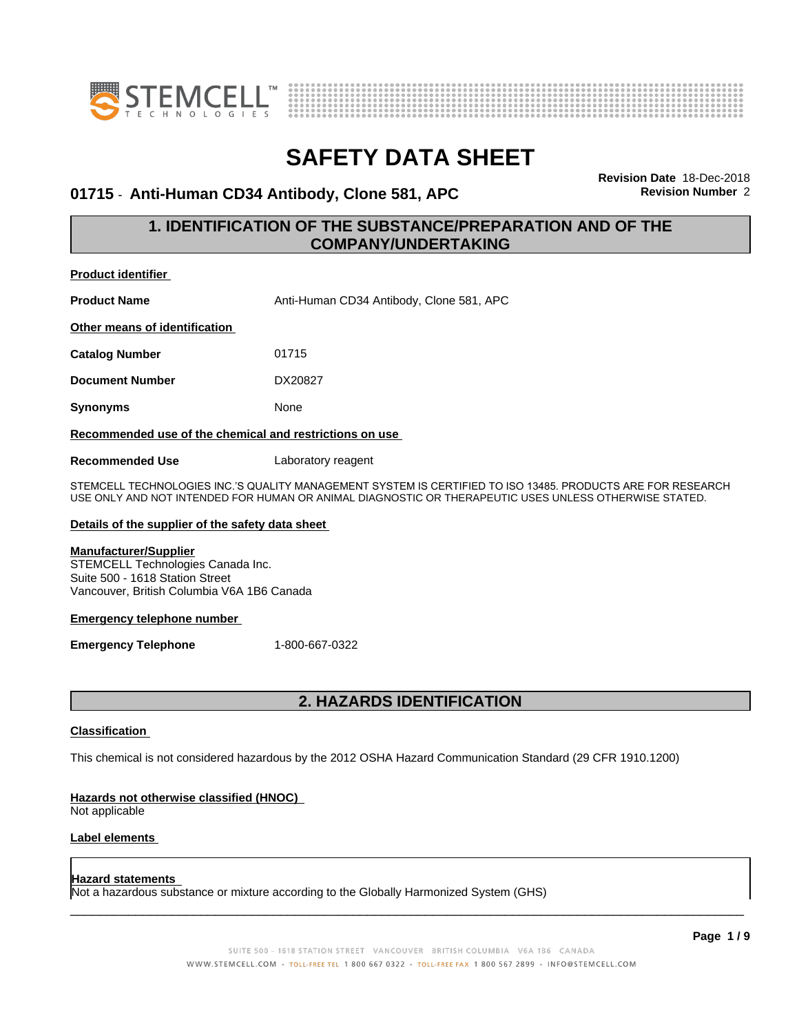



#### **01715** - **Anti-Human CD34 Antibody, Clone 581, APC Revision Number** 2

**Revision Date** 18-Dec-2018

#### **1. IDENTIFICATION OF THE SUBSTANCE/PREPARATION AND OF THE COMPANY/UNDERTAKING**

| <b>Product identifier</b>                               |                                          |
|---------------------------------------------------------|------------------------------------------|
| <b>Product Name</b>                                     | Anti-Human CD34 Antibody, Clone 581, APC |
| Other means of identification                           |                                          |
| <b>Catalog Number</b>                                   | 01715                                    |
| <b>Document Number</b>                                  | DX20827                                  |
| <b>Synonyms</b>                                         | None                                     |
| Recommended use of the chemical and restrictions on use |                                          |
| <b>Recommended Use</b>                                  | Laboratory reagent                       |

STEMCELL TECHNOLOGIES INC.'S QUALITY MANAGEMENT SYSTEM IS CERTIFIED TO ISO 13485. PRODUCTS ARE FOR RESEARCH USE ONLY AND NOT INTENDED FOR HUMAN OR ANIMAL DIAGNOSTIC OR THERAPEUTIC USES UNLESS OTHERWISE STATED.

#### **Details of the supplier of the safety data sheet**

#### **Manufacturer/Supplier**

STEMCELL Technologies Canada Inc. Suite 500 - 1618 Station Street Vancouver, British Columbia V6A 1B6 Canada

#### **Emergency telephone number**

**Emergency Telephone** 1-800-667-0322

#### **2. HAZARDS IDENTIFICATION**

#### **Classification**

This chemical is not considered hazardous by the 2012 OSHA Hazard Communication Standard (29 CFR 1910.1200)

#### **Hazards not otherwise classified (HNOC)**

Not applicable

#### **Label elements**

#### **Hazard statements**

Not a hazardous substance or mixture according to the Globally Harmonized System (GHS)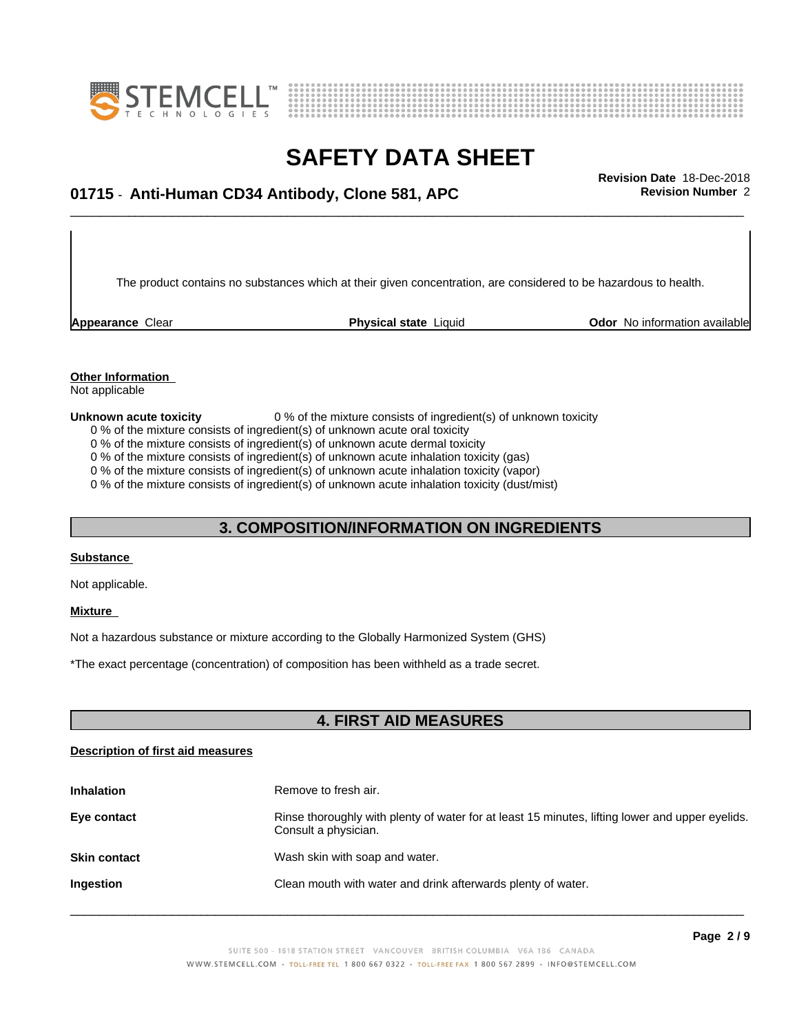



# \_\_\_\_\_\_\_\_\_\_\_\_\_\_\_\_\_\_\_\_\_\_\_\_\_\_\_\_\_\_\_\_\_\_\_\_\_\_\_\_\_\_\_\_\_\_\_\_\_\_\_\_\_\_\_\_\_\_\_\_\_\_\_\_\_\_\_\_\_\_\_\_\_\_\_\_\_\_\_\_\_\_\_\_\_\_\_\_\_\_\_\_\_ **Revision Date** 18-Dec-2018 **01715** - **Anti-Human CD34 Antibody, Clone 581, APC Revision Number** 2

The product contains no substances which at their given concentration, are considered to be hazardous to health.

**Appearance** Clear **Physical state** Liquid **Odor No information available Appearance** Clear

### **Other Information**

Not applicable

#### **Unknown acute toxicity** 0 % of the mixture consists of ingredient(s) of unknown toxicity

0 % of the mixture consists of ingredient(s) of unknown acute oral toxicity

0 % of the mixture consists of ingredient(s) of unknown acute dermal toxicity

0 % of the mixture consists of ingredient(s) of unknown acute inhalation toxicity (gas)

0 % of the mixture consists of ingredient(s) of unknown acute inhalation toxicity (vapor)

0 % of the mixture consists of ingredient(s) of unknown acute inhalation toxicity (dust/mist)

#### **3. COMPOSITION/INFORMATION ON INGREDIENTS**

#### **Substance**

Not applicable.

#### **Mixture**

Not a hazardous substance or mixture according to the Globally Harmonized System (GHS)

\*The exact percentage (concentration) ofcomposition has been withheld as a trade secret.

#### **4. FIRST AID MEASURES**

#### **Description of first aid measures**

| <b>Inhalation</b>   | Remove to fresh air.                                                                                                    |
|---------------------|-------------------------------------------------------------------------------------------------------------------------|
| Eye contact         | Rinse thoroughly with plenty of water for at least 15 minutes, lifting lower and upper eyelids.<br>Consult a physician. |
| <b>Skin contact</b> | Wash skin with soap and water.                                                                                          |
| Ingestion           | Clean mouth with water and drink afterwards plenty of water.                                                            |
|                     |                                                                                                                         |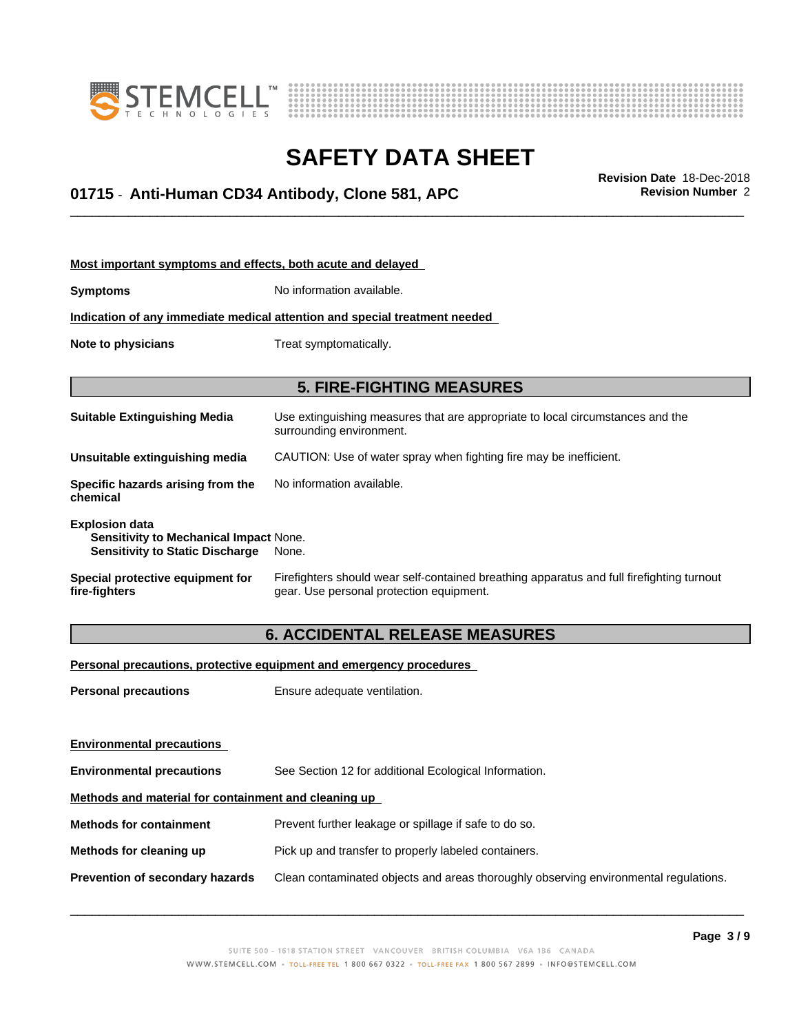



# \_\_\_\_\_\_\_\_\_\_\_\_\_\_\_\_\_\_\_\_\_\_\_\_\_\_\_\_\_\_\_\_\_\_\_\_\_\_\_\_\_\_\_\_\_\_\_\_\_\_\_\_\_\_\_\_\_\_\_\_\_\_\_\_\_\_\_\_\_\_\_\_\_\_\_\_\_\_\_\_\_\_\_\_\_\_\_\_\_\_\_\_\_ **Revision Date** 18-Dec-2018 **01715** - **Anti-Human CD34 Antibody, Clone 581, APC Revision Number** 2

| Most important symptoms and effects, both acute and delayed                                               |                                                                                                                                       |  |
|-----------------------------------------------------------------------------------------------------------|---------------------------------------------------------------------------------------------------------------------------------------|--|
| <b>Symptoms</b>                                                                                           | No information available.                                                                                                             |  |
| Indication of any immediate medical attention and special treatment needed                                |                                                                                                                                       |  |
| Note to physicians                                                                                        | Treat symptomatically.                                                                                                                |  |
|                                                                                                           | <b>5. FIRE-FIGHTING MEASURES</b>                                                                                                      |  |
| <b>Suitable Extinguishing Media</b>                                                                       | Use extinguishing measures that are appropriate to local circumstances and the<br>surrounding environment.                            |  |
| Unsuitable extinguishing media                                                                            | CAUTION: Use of water spray when fighting fire may be inefficient.                                                                    |  |
| Specific hazards arising from the<br>chemical                                                             | No information available.                                                                                                             |  |
| <b>Explosion data</b><br>Sensitivity to Mechanical Impact None.<br><b>Sensitivity to Static Discharge</b> | None.                                                                                                                                 |  |
| Special protective equipment for<br>fire-fighters                                                         | Firefighters should wear self-contained breathing apparatus and full firefighting turnout<br>gear. Use personal protection equipment. |  |
| <b>6. ACCIDENTAL RELEASE MEASURES</b>                                                                     |                                                                                                                                       |  |

**Personal precautions, protective equipment and emergency procedures**

**Personal precautions** Ensure adequate ventilation.

| <b>Environmental precautions</b>                     |                                                                                      |  |
|------------------------------------------------------|--------------------------------------------------------------------------------------|--|
| <b>Environmental precautions</b>                     | See Section 12 for additional Ecological Information.                                |  |
| Methods and material for containment and cleaning up |                                                                                      |  |
| <b>Methods for containment</b>                       | Prevent further leakage or spillage if safe to do so.                                |  |
| Methods for cleaning up                              | Pick up and transfer to properly labeled containers.                                 |  |
| <b>Prevention of secondary hazards</b>               | Clean contaminated objects and areas thoroughly observing environmental regulations. |  |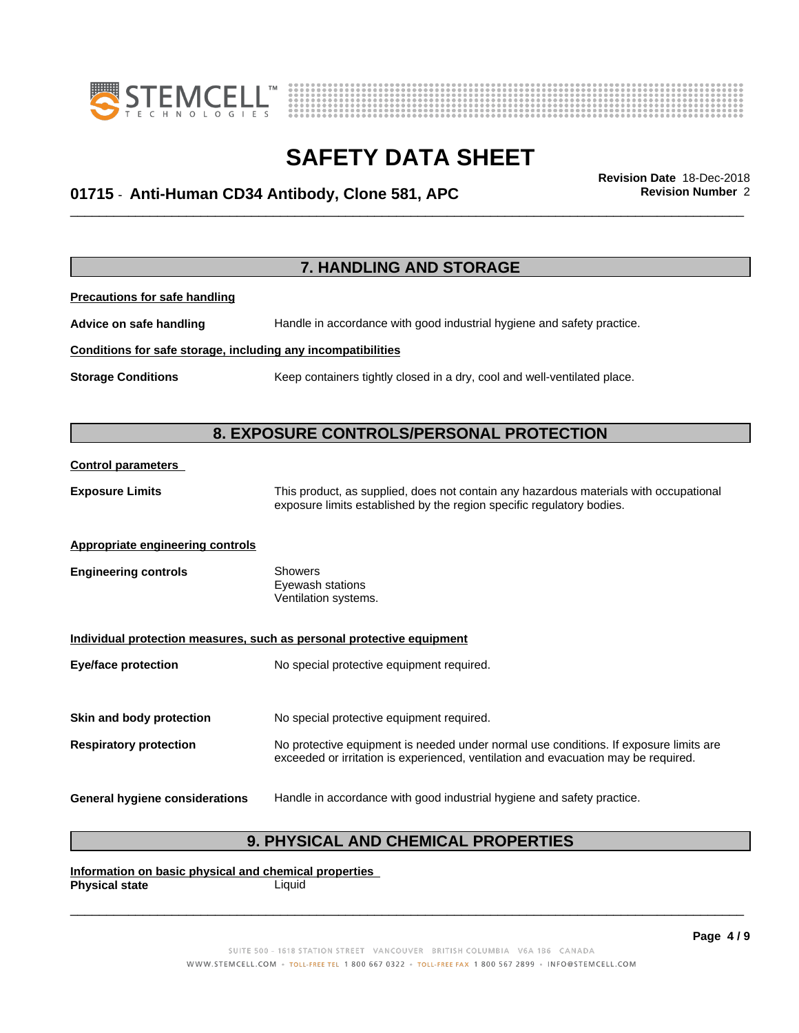



# \_\_\_\_\_\_\_\_\_\_\_\_\_\_\_\_\_\_\_\_\_\_\_\_\_\_\_\_\_\_\_\_\_\_\_\_\_\_\_\_\_\_\_\_\_\_\_\_\_\_\_\_\_\_\_\_\_\_\_\_\_\_\_\_\_\_\_\_\_\_\_\_\_\_\_\_\_\_\_\_\_\_\_\_\_\_\_\_\_\_\_\_\_ **Revision Date** 18-Dec-2018 **01715** - **Anti-Human CD34 Antibody, Clone 581, APC Revision Number** 2

**7. HANDLING AND STORAGE Precautions for safe handling Advice on safe handling** Handle in accordance with good industrial hygiene and safety practice. **Conditions for safe storage, including any incompatibilities Storage Conditions** Keep containers tightly closed in a dry, cool and well-ventilated place. **8. EXPOSURE CONTROLS/PERSONAL PROTECTION Control parameters Exposure Limits** This product, as supplied, does not contain any hazardous materials with occupational exposure limits established by the region specific regulatory bodies. **Appropriate engineering controls Engineering controls** Showers Eyewash stations Ventilation systems. **Individual protection measures, such as personal protective equipment Eye/face protection** No special protective equipment required. **Skin and body protection** No special protective equipment required. **Respiratory protection** No protective equipment is needed under normal use conditions. If exposure limits are exceeded or irritation is experienced, ventilation and evacuation may be required. **General hygiene considerations** Handle in accordance with good industrial hygiene and safety practice.

### **9. PHYSICAL AND CHEMICAL PROPERTIES**

**Information on basic physical and chemical properties Physical state** Liquid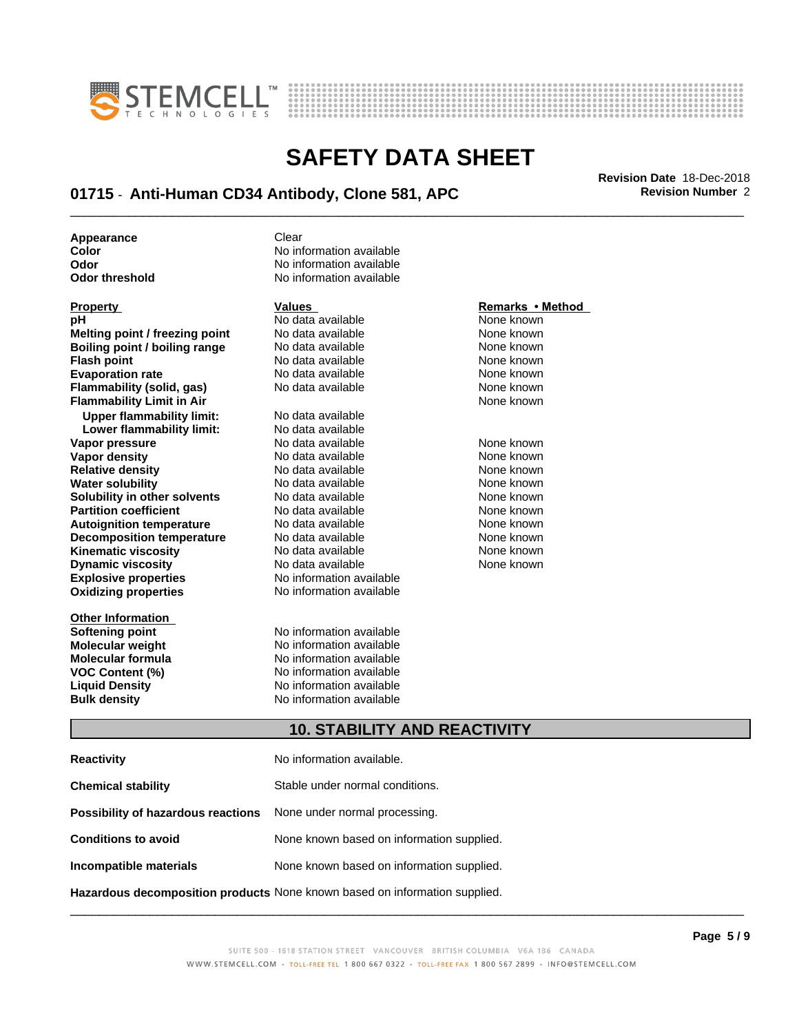



# \_\_\_\_\_\_\_\_\_\_\_\_\_\_\_\_\_\_\_\_\_\_\_\_\_\_\_\_\_\_\_\_\_\_\_\_\_\_\_\_\_\_\_\_\_\_\_\_\_\_\_\_\_\_\_\_\_\_\_\_\_\_\_\_\_\_\_\_\_\_\_\_\_\_\_\_\_\_\_\_\_\_\_\_\_\_\_\_\_\_\_\_\_ **Revision Date** 18-Dec-2018 **01715** - **Anti-Human CD34 Antibody, Clone 581, APC Revision Number** 2

**Appearance** Clear

| <b>Property</b>                  | Values                   | Remarks • Method |
|----------------------------------|--------------------------|------------------|
| рH                               | No data available        | None known       |
| Melting point / freezing point   | No data available        | None known       |
| Boiling point / boiling range    | No data available        | None known       |
| <b>Flash point</b>               | No data available        | None known       |
| <b>Evaporation rate</b>          | No data available        | None known       |
| Flammability (solid, gas)        | No data available        | None known       |
| <b>Flammability Limit in Air</b> |                          | None known       |
| <b>Upper flammability limit:</b> | No data available        |                  |
| Lower flammability limit:        | No data available        |                  |
| Vapor pressure                   | No data available        | None known       |
| Vapor density                    | No data available        | None known       |
| <b>Relative density</b>          | No data available        | None known       |
| <b>Water solubility</b>          | No data available        | None known       |
| Solubility in other solvents     | No data available        | None known       |
| <b>Partition coefficient</b>     | No data available        | None known       |
| <b>Autoignition temperature</b>  | No data available        | None known       |
| <b>Decomposition temperature</b> | No data available        | None known       |
| <b>Kinematic viscosity</b>       | No data available        | None known       |
| <b>Dynamic viscosity</b>         | No data available        | None known       |
| <b>Explosive properties</b>      | No information available |                  |
| <b>Oxidizing properties</b>      | No information available |                  |
| <b>Other Information</b>         |                          |                  |
| Softening point                  | No information available |                  |
| <b>Molecular weight</b>          | No information available |                  |
|                                  |                          |                  |

**Color Color Color Color Color Color Color Color Color Color Color No** information available **No information available Odor threshold** No information available

formation available formation available **Molecular formula No information available**<br>**VOC Content (%)** No information available **VOC Content (%)** No information available **Liquid Density** No information available **Bulk density** No information available

#### **Property Contract Property Remarks • Method**

#### **10. STABILITY AND REACTIVITY**

| <b>Reactivity</b>                                                          | No information available.                 |
|----------------------------------------------------------------------------|-------------------------------------------|
| <b>Chemical stability</b>                                                  | Stable under normal conditions.           |
| Possibility of hazardous reactions                                         | None under normal processing.             |
| <b>Conditions to avoid</b>                                                 | None known based on information supplied. |
| Incompatible materials                                                     | None known based on information supplied. |
| Hazardous decomposition products None known based on information supplied. |                                           |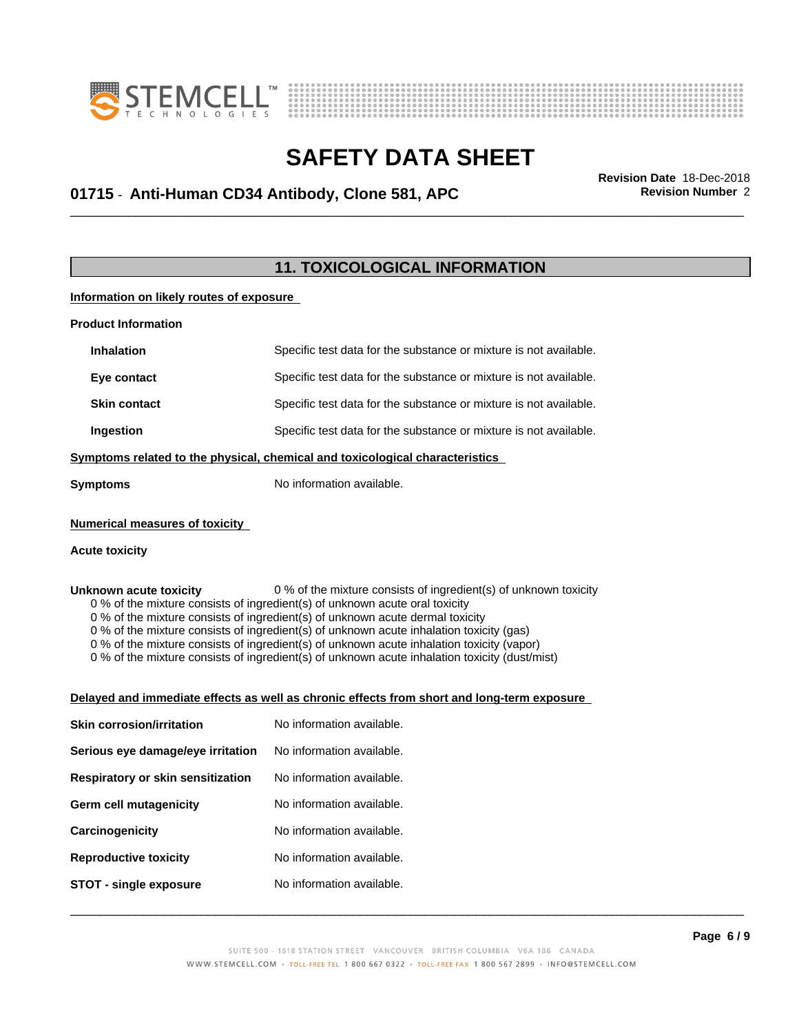



# \_\_\_\_\_\_\_\_\_\_\_\_\_\_\_\_\_\_\_\_\_\_\_\_\_\_\_\_\_\_\_\_\_\_\_\_\_\_\_\_\_\_\_\_\_\_\_\_\_\_\_\_\_\_\_\_\_\_\_\_\_\_\_\_\_\_\_\_\_\_\_\_\_\_\_\_\_\_\_\_\_\_\_\_\_\_\_\_\_\_\_\_\_ **Revision Date** 18-Dec-2018 **01715** - **Anti-Human CD34 Antibody, Clone 581, APC Revision Number** 2

### **11. TOXICOLOGICAL INFORMATION**

#### **Information on likely routes of exposure**

| <b>Product Information</b>            |                                                                                                                                                                                                                                                                                                                                                                                                                                                                      |
|---------------------------------------|----------------------------------------------------------------------------------------------------------------------------------------------------------------------------------------------------------------------------------------------------------------------------------------------------------------------------------------------------------------------------------------------------------------------------------------------------------------------|
| <b>Inhalation</b>                     | Specific test data for the substance or mixture is not available.                                                                                                                                                                                                                                                                                                                                                                                                    |
| Eye contact                           | Specific test data for the substance or mixture is not available.                                                                                                                                                                                                                                                                                                                                                                                                    |
| <b>Skin contact</b>                   | Specific test data for the substance or mixture is not available.                                                                                                                                                                                                                                                                                                                                                                                                    |
| Ingestion                             | Specific test data for the substance or mixture is not available.                                                                                                                                                                                                                                                                                                                                                                                                    |
|                                       | Symptoms related to the physical, chemical and toxicological characteristics                                                                                                                                                                                                                                                                                                                                                                                         |
| <b>Symptoms</b>                       | No information available.                                                                                                                                                                                                                                                                                                                                                                                                                                            |
| <b>Numerical measures of toxicity</b> |                                                                                                                                                                                                                                                                                                                                                                                                                                                                      |
| <b>Acute toxicity</b>                 |                                                                                                                                                                                                                                                                                                                                                                                                                                                                      |
|                                       |                                                                                                                                                                                                                                                                                                                                                                                                                                                                      |
|                                       | 0 % of the mixture consists of ingredient(s) of unknown acute dermal toxicity<br>0 % of the mixture consists of ingredient(s) of unknown acute inhalation toxicity (gas)<br>0 % of the mixture consists of ingredient(s) of unknown acute inhalation toxicity (vapor)<br>0 % of the mixture consists of ingredient(s) of unknown acute inhalation toxicity (dust/mist)<br>Delayed and immediate effects as well as chronic effects from short and long-term exposure |
| <b>Skin corrosion/irritation</b>      | No information available.                                                                                                                                                                                                                                                                                                                                                                                                                                            |
| Serious eye damage/eye irritation     | No information available.                                                                                                                                                                                                                                                                                                                                                                                                                                            |
| Respiratory or skin sensitization     | No information available.                                                                                                                                                                                                                                                                                                                                                                                                                                            |
| <b>Germ cell mutagenicity</b>         | No information available.                                                                                                                                                                                                                                                                                                                                                                                                                                            |
| Carcinogenicity                       | No information available.                                                                                                                                                                                                                                                                                                                                                                                                                                            |
| <b>Reproductive toxicity</b>          | No information available.                                                                                                                                                                                                                                                                                                                                                                                                                                            |
| <b>STOT - single exposure</b>         | No information available.                                                                                                                                                                                                                                                                                                                                                                                                                                            |
|                                       | P <sub>2</sub> na 6/9                                                                                                                                                                                                                                                                                                                                                                                                                                                |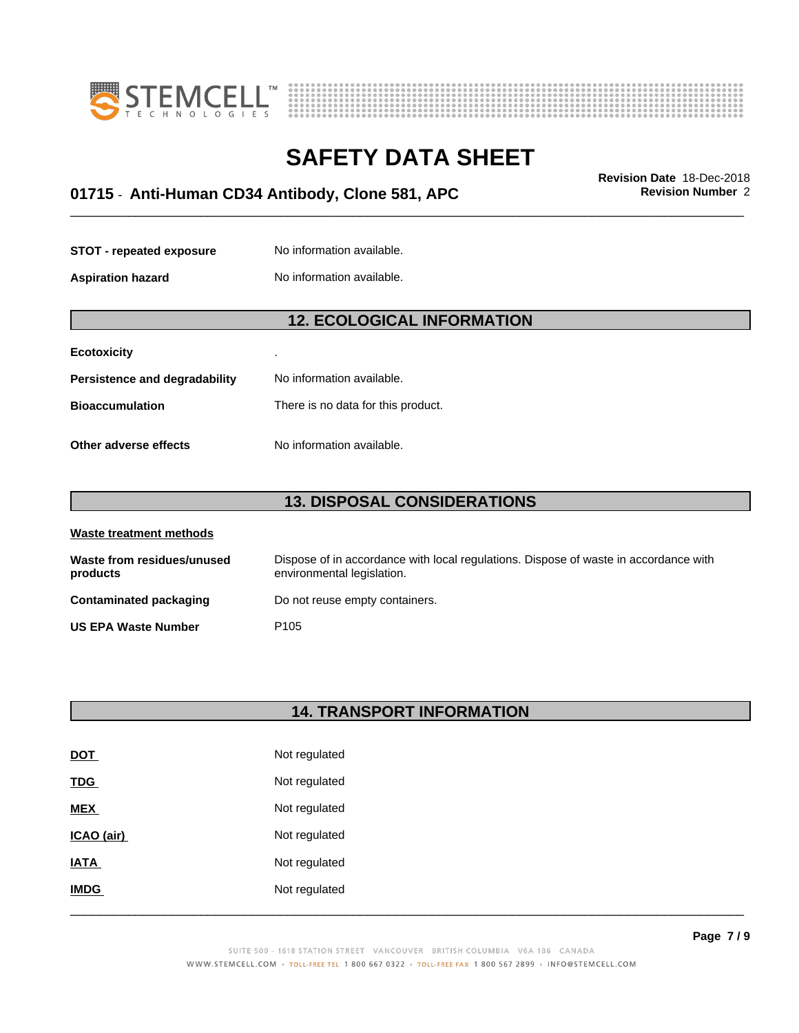



# \_\_\_\_\_\_\_\_\_\_\_\_\_\_\_\_\_\_\_\_\_\_\_\_\_\_\_\_\_\_\_\_\_\_\_\_\_\_\_\_\_\_\_\_\_\_\_\_\_\_\_\_\_\_\_\_\_\_\_\_\_\_\_\_\_\_\_\_\_\_\_\_\_\_\_\_\_\_\_\_\_\_\_\_\_\_\_\_\_\_\_\_\_ **Revision Date** 18-Dec-2018 **01715** - **Anti-Human CD34 Antibody, Clone 581, APC Revision Number** 2

| <b>STOT - repeated exposure</b> | No information available. |
|---------------------------------|---------------------------|
|                                 |                           |

**Aspiration hazard** No information available.

#### **12. ECOLOGICAL INFORMATION**

| <b>Ecotoxicity</b>            | ٠                                  |
|-------------------------------|------------------------------------|
| Persistence and degradability | No information available.          |
| <b>Bioaccumulation</b>        | There is no data for this product. |
| Other adverse effects         | No information available.          |

### **13. DISPOSAL CONSIDERATIONS**

| Waste treatment methods                |                                                                                                                    |  |
|----------------------------------------|--------------------------------------------------------------------------------------------------------------------|--|
| Waste from residues/unused<br>products | Dispose of in accordance with local regulations. Dispose of waste in accordance with<br>environmental legislation. |  |
| Contaminated packaging                 | Do not reuse empty containers.                                                                                     |  |
| <b>US EPA Waste Number</b>             | P <sub>105</sub>                                                                                                   |  |

#### **14. TRANSPORT INFORMATION**

| <b>DOT</b>  | Not regulated |
|-------------|---------------|
| <b>TDG</b>  | Not regulated |
| <b>MEX</b>  | Not regulated |
| ICAO (air)  | Not regulated |
| <b>IATA</b> | Not regulated |
| <b>IMDG</b> | Not regulated |
|             |               |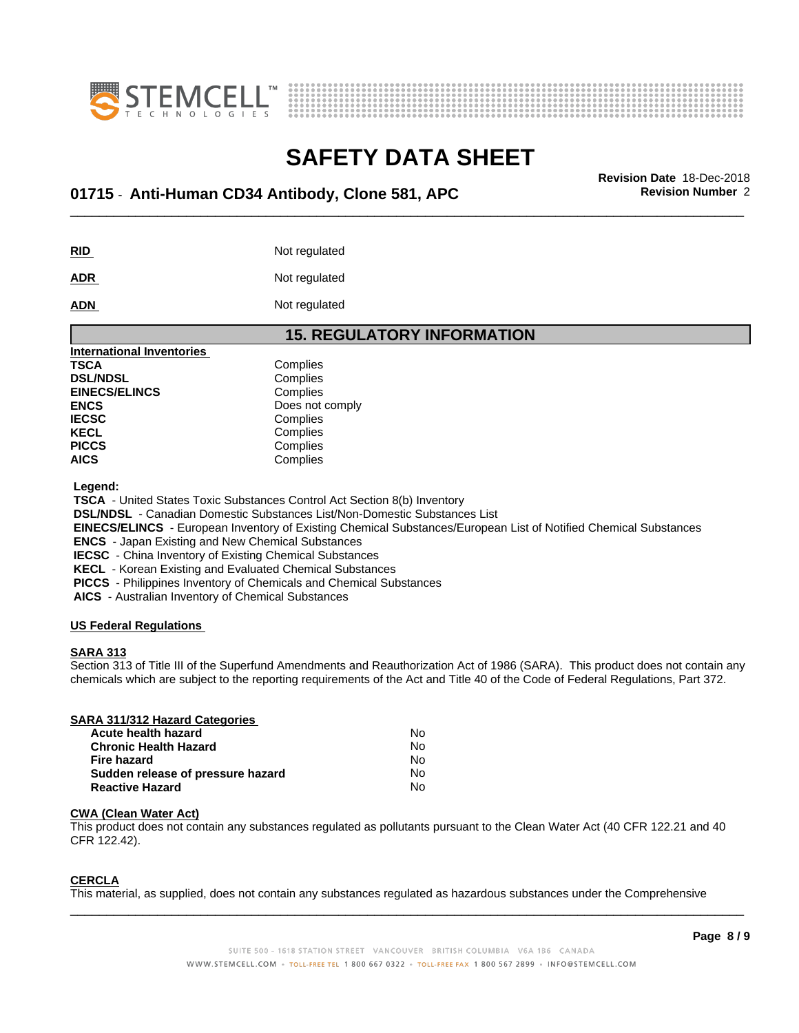



# \_\_\_\_\_\_\_\_\_\_\_\_\_\_\_\_\_\_\_\_\_\_\_\_\_\_\_\_\_\_\_\_\_\_\_\_\_\_\_\_\_\_\_\_\_\_\_\_\_\_\_\_\_\_\_\_\_\_\_\_\_\_\_\_\_\_\_\_\_\_\_\_\_\_\_\_\_\_\_\_\_\_\_\_\_\_\_\_\_\_\_\_\_ **Revision Date** 18-Dec-2018 **01715** - **Anti-Human CD34 Antibody, Clone 581, APC Revision Number** 2

**RID** Not regulated

**ADR** Not regulated

**ADN** Not regulated

| <b>15. REGULATORY INFORMATION</b> |                 |  |
|-----------------------------------|-----------------|--|
| <b>International Inventories</b>  |                 |  |
| TSCA                              | Complies        |  |
| <b>DSL/NDSL</b>                   | Complies        |  |
| <b>EINECS/ELINCS</b>              | Complies        |  |
| <b>ENCS</b>                       | Does not comply |  |
| <b>IECSC</b>                      | Complies        |  |
| KECL                              | Complies        |  |
| <b>PICCS</b>                      | Complies        |  |
| <b>AICS</b>                       | Complies        |  |

 **Legend:**

 **TSCA** - United States Toxic Substances Control Act Section 8(b) Inventory

 **DSL/NDSL** - Canadian Domestic Substances List/Non-Domestic Substances List

 **EINECS/ELINCS** - European Inventory of Existing Chemical Substances/European List of Notified Chemical Substances

 **ENCS** - Japan Existing and New Chemical Substances

 **IECSC** - China Inventory of Existing Chemical Substances

 **KECL** - Korean Existing and Evaluated Chemical Substances

 **PICCS** - Philippines Inventory of Chemicals and Chemical Substances

 **AICS** - Australian Inventory of Chemical Substances

#### **US Federal Regulations**

#### **SARA 313**

Section 313 of Title III of the Superfund Amendments and Reauthorization Act of 1986 (SARA). This product does not contain any chemicals which are subject to the reporting requirements of the Act and Title 40 of the Code of Federal Regulations, Part 372.

#### **SARA 311/312 Hazard Categories**

| Acute health hazard               | No. |
|-----------------------------------|-----|
| <b>Chronic Health Hazard</b>      | No  |
| Fire hazard                       | N٥  |
| Sudden release of pressure hazard | No  |
| <b>Reactive Hazard</b>            | N٥  |

#### **CWA** (Clean Water Act)

This product does not contain any substances regulated as pollutants pursuant to the Clean Water Act (40 CFR 122.21 and 40 CFR 122.42).

#### **CERCLA**

This material, as supplied, does not contain any substances regulated as hazardous substances under the Comprehensive